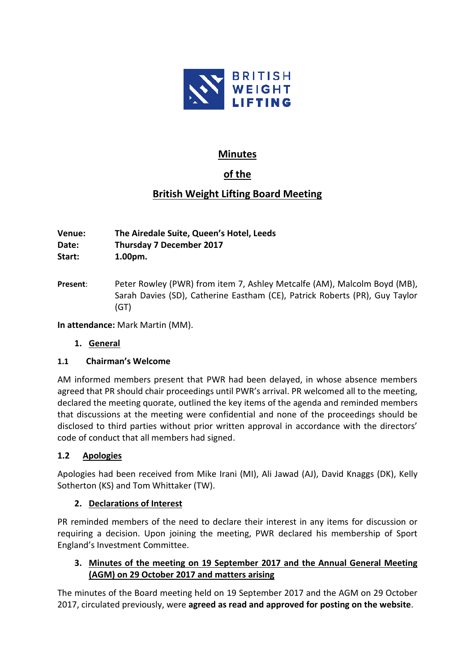

## **Minutes**

# **of the**

## **British Weight Lifting Board Meeting**

**Venue: The Airedale Suite, Queen's Hotel, Leeds Date: Thursday 7 December 2017 Start: 1.00pm.**

**Present**: Peter Rowley (PWR) from item 7, Ashley Metcalfe (AM), Malcolm Boyd (MB), Sarah Davies (SD), Catherine Eastham (CE), Patrick Roberts (PR), Guy Taylor (GT)

**In attendance:** Mark Martin (MM).

## **1. General**

## **1.1 Chairman's Welcome**

AM informed members present that PWR had been delayed, in whose absence members agreed that PR should chair proceedings until PWR's arrival. PR welcomed all to the meeting, declared the meeting quorate, outlined the key items of the agenda and reminded members that discussions at the meeting were confidential and none of the proceedings should be disclosed to third parties without prior written approval in accordance with the directors' code of conduct that all members had signed.

## **1.2 Apologies**

Apologies had been received from Mike Irani (MI), Ali Jawad (AJ), David Knaggs (DK), Kelly Sotherton (KS) and Tom Whittaker (TW).

## **2. Declarations of Interest**

PR reminded members of the need to declare their interest in any items for discussion or requiring a decision. Upon joining the meeting, PWR declared his membership of Sport England's Investment Committee.

## **3. Minutes of the meeting on 19 September 2017 and the Annual General Meeting (AGM) on 29 October 2017 and matters arising**

The minutes of the Board meeting held on 19 September 2017 and the AGM on 29 October 2017, circulated previously, were **agreed as read and approved for posting on the website**.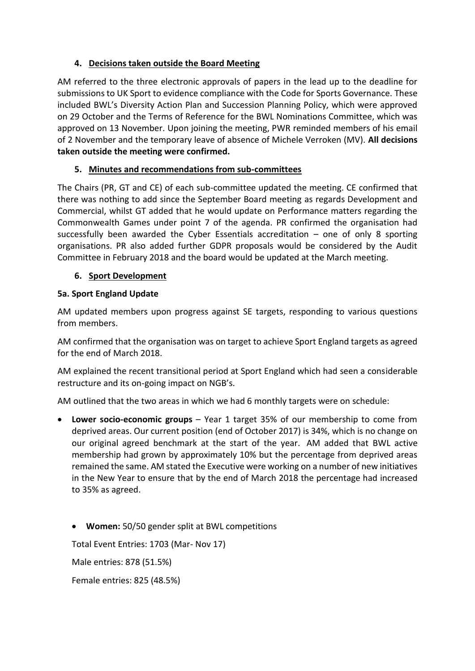## **4. Decisions taken outside the Board Meeting**

AM referred to the three electronic approvals of papers in the lead up to the deadline for submissions to UK Sport to evidence compliance with the Code for Sports Governance. These included BWL's Diversity Action Plan and Succession Planning Policy, which were approved on 29 October and the Terms of Reference for the BWL Nominations Committee, which was approved on 13 November. Upon joining the meeting, PWR reminded members of his email of 2 November and the temporary leave of absence of Michele Verroken (MV). **All decisions taken outside the meeting were confirmed.**

## **5. Minutes and recommendations from sub-committees**

The Chairs (PR, GT and CE) of each sub-committee updated the meeting. CE confirmed that there was nothing to add since the September Board meeting as regards Development and Commercial, whilst GT added that he would update on Performance matters regarding the Commonwealth Games under point 7 of the agenda. PR confirmed the organisation had successfully been awarded the Cyber Essentials accreditation  $-$  one of only 8 sporting organisations. PR also added further GDPR proposals would be considered by the Audit Committee in February 2018 and the board would be updated at the March meeting.

## **6. Sport Development**

## **5a. Sport England Update**

AM updated members upon progress against SE targets, responding to various questions from members.

AM confirmed that the organisation was on target to achieve Sport England targets as agreed for the end of March 2018.

AM explained the recent transitional period at Sport England which had seen a considerable restructure and its on-going impact on NGB's.

AM outlined that the two areas in which we had 6 monthly targets were on schedule:

- **Lower socio-economic groups** Year 1 target 35% of our membership to come from deprived areas. Our current position (end of October 2017) is 34%, which is no change on our original agreed benchmark at the start of the year. AM added that BWL active membership had grown by approximately 10% but the percentage from deprived areas remained the same. AM stated the Executive were working on a number of new initiatives in the New Year to ensure that by the end of March 2018 the percentage had increased to 35% as agreed.
	- **Women:** 50/50 gender split at BWL competitions

Total Event Entries: 1703 (Mar- Nov 17)

Male entries: 878 (51.5%)

Female entries: 825 (48.5%)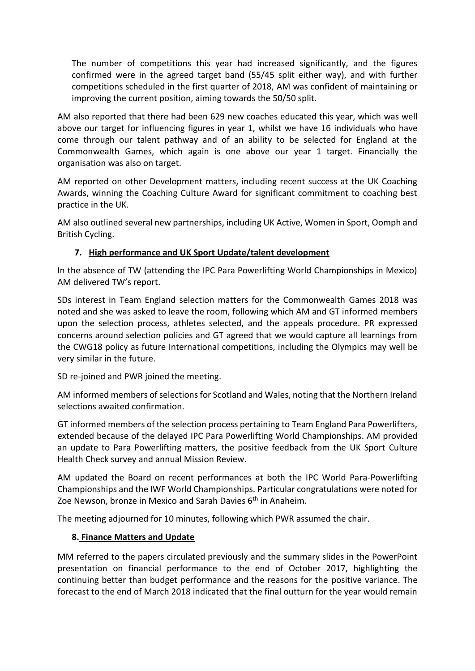The number of competitions this year had increased significantly, and the figures confirmed were in the agreed target band (55/45 split either way), and with further competitions scheduled in the first quarter of 2018, AM was confident of maintaining or improving the current position, aiming towards the 50/50 split.

AM also reported that there had been 629 new coaches educated this year, which was well above our target for influencing figures in year 1, whilst we have 16 individuals who have come through our talent pathway and of an ability to be selected for England at the Commonwealth Games, which again is one above our year 1 target. Financially the organisation was also on target.

AM reported on other Development matters, including recent success at the UK Coaching Awards, winning the Coaching Culture Award for significant commitment to coaching best practice in the UK.

AM also outlined several new partnerships, including UK Active, Women in Sport, Oomph and British Cycling.

## **7. High performance and UK Sport Update/talent development**

In the absence of TW (attending the IPC Para Powerlifting World Championships in Mexico) AM delivered TW's report.

SDs interest in Team England selection matters for the Commonwealth Games 2018 was noted and she was asked to leave the room, following which AM and GT informed members upon the selection process, athletes selected, and the appeals procedure. PR expressed concerns around selection policies and GT agreed that we would capture all learnings from the CWG18 policy as future International competitions, including the Olympics may well be very similar in the future.

SD re-joined and PWR joined the meeting.

AM informed members of selections for Scotland and Wales, noting that the Northern Ireland selections awaited confirmation.

GT informed members of the selection process pertaining to Team England Para Powerlifters, extended because of the delayed IPC Para Powerlifting World Championships. AM provided an update to Para Powerlifting matters, the positive feedback from the UK Sport Culture Health Check survey and annual Mission Review.

AM updated the Board on recent performances at both the IPC World Para-Powerlifting Championships and the IWF World Championships. Particular congratulations were noted for Zoe Newson, bronze in Mexico and Sarah Davies  $6<sup>th</sup>$  in Anaheim.

The meeting adjourned for 10 minutes, following which PWR assumed the chair.

## **8. Finance Matters and Update**

MM referred to the papers circulated previously and the summary slides in the PowerPoint presentation on financial performance to the end of October 2017, highlighting the continuing better than budget performance and the reasons for the positive variance. The forecast to the end of March 2018 indicated that the final outturn for the year would remain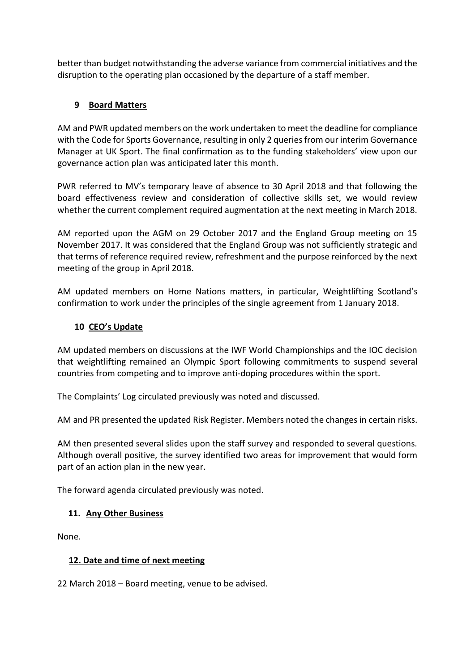better than budget notwithstanding the adverse variance from commercial initiatives and the disruption to the operating plan occasioned by the departure of a staff member.

## **9 Board Matters**

AM and PWR updated members on the work undertaken to meet the deadline for compliance with the Code for Sports Governance, resulting in only 2 queries from our interim Governance Manager at UK Sport. The final confirmation as to the funding stakeholders' view upon our governance action plan was anticipated later this month.

PWR referred to MV's temporary leave of absence to 30 April 2018 and that following the board effectiveness review and consideration of collective skills set, we would review whether the current complement required augmentation at the next meeting in March 2018.

AM reported upon the AGM on 29 October 2017 and the England Group meeting on 15 November 2017. It was considered that the England Group was not sufficiently strategic and that terms of reference required review, refreshment and the purpose reinforced by the next meeting of the group in April 2018.

AM updated members on Home Nations matters, in particular, Weightlifting Scotland's confirmation to work under the principles of the single agreement from 1 January 2018.

## **10 CEO's Update**

AM updated members on discussions at the IWF World Championships and the IOC decision that weightlifting remained an Olympic Sport following commitments to suspend several countries from competing and to improve anti-doping procedures within the sport.

The Complaints' Log circulated previously was noted and discussed.

AM and PR presented the updated Risk Register. Members noted the changes in certain risks.

AM then presented several slides upon the staff survey and responded to several questions. Although overall positive, the survey identified two areas for improvement that would form part of an action plan in the new year.

The forward agenda circulated previously was noted.

## **11. Any Other Business**

None.

## **12. Date and time of next meeting**

22 March 2018 – Board meeting, venue to be advised.